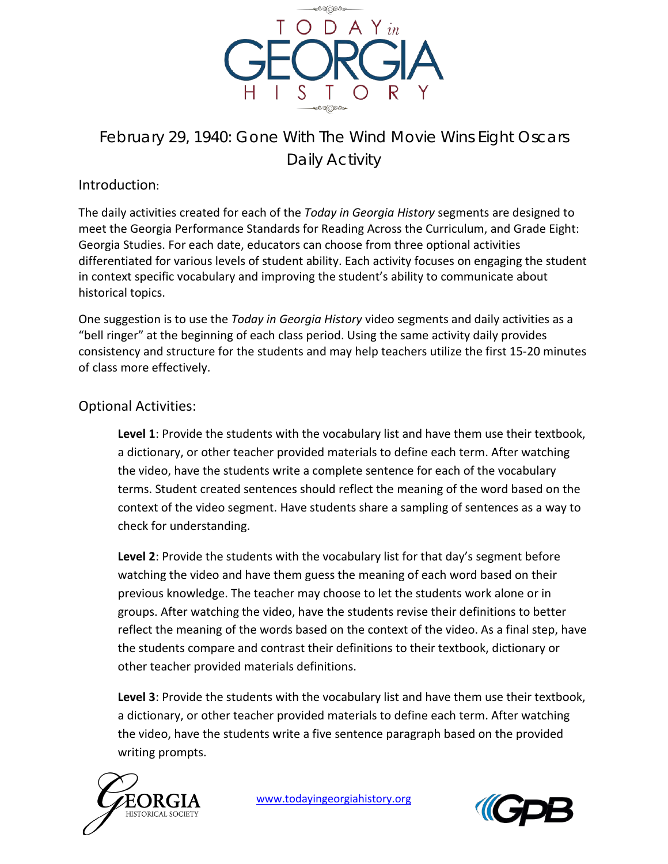

# February 29, 1940: Gone With The Wind Movie Wins Eight Oscars Daily Activity

# Introduction:

The daily activities created for each of the *Today in Georgia History* segments are designed to meet the Georgia Performance Standards for Reading Across the Curriculum, and Grade Eight: Georgia Studies. For each date, educators can choose from three optional activities differentiated for various levels of student ability. Each activity focuses on engaging the student in context specific vocabulary and improving the student's ability to communicate about historical topics.

One suggestion is to use the *Today in Georgia History* video segments and daily activities as a "bell ringer" at the beginning of each class period. Using the same activity daily provides consistency and structure for the students and may help teachers utilize the first 15-20 minutes of class more effectively.

# Optional Activities:

**Level 1**: Provide the students with the vocabulary list and have them use their textbook, a dictionary, or other teacher provided materials to define each term. After watching the video, have the students write a complete sentence for each of the vocabulary terms. Student created sentences should reflect the meaning of the word based on the context of the video segment. Have students share a sampling of sentences as a way to check for understanding.

**Level 2**: Provide the students with the vocabulary list for that day's segment before watching the video and have them guess the meaning of each word based on their previous knowledge. The teacher may choose to let the students work alone or in groups. After watching the video, have the students revise their definitions to better reflect the meaning of the words based on the context of the video. As a final step, have the students compare and contrast their definitions to their textbook, dictionary or other teacher provided materials definitions.

**Level 3**: Provide the students with the vocabulary list and have them use their textbook, a dictionary, or other teacher provided materials to define each term. After watching the video, have the students write a five sentence paragraph based on the provided writing prompts.



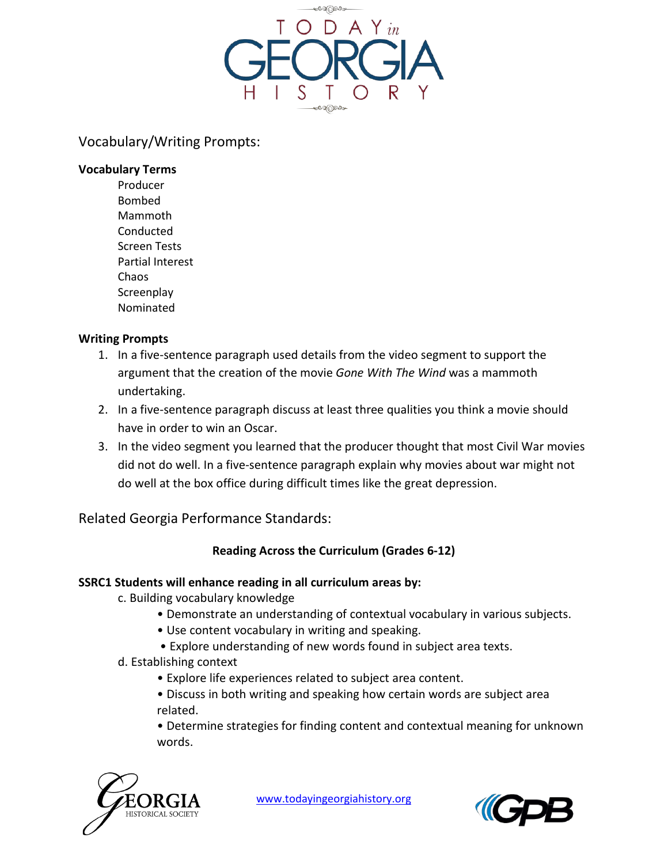

## Vocabulary/Writing Prompts:

#### **Vocabulary Terms**

Producer Bombed Mammoth Conducted Screen Tests Partial Interest Chaos **Screenplay** Nominated

#### **Writing Prompts**

- 1. In a five-sentence paragraph used details from the video segment to support the argument that the creation of the movie *Gone With The Wind* was a mammoth undertaking.
- 2. In a five-sentence paragraph discuss at least three qualities you think a movie should have in order to win an Oscar.
- 3. In the video segment you learned that the producer thought that most Civil War movies did not do well. In a five-sentence paragraph explain why movies about war might not do well at the box office during difficult times like the great depression.

Related Georgia Performance Standards:

## **Reading Across the Curriculum (Grades 6-12)**

#### **SSRC1 Students will enhance reading in all curriculum areas by:**

- c. Building vocabulary knowledge
	- Demonstrate an understanding of contextual vocabulary in various subjects.
	- Use content vocabulary in writing and speaking.
	- Explore understanding of new words found in subject area texts.
- d. Establishing context
	- Explore life experiences related to subject area content.
	- Discuss in both writing and speaking how certain words are subject area related.
	- Determine strategies for finding content and contextual meaning for unknown words.



[www.todayingeorgiahistory.org](http://www.todayingeorgiahistory.org/)